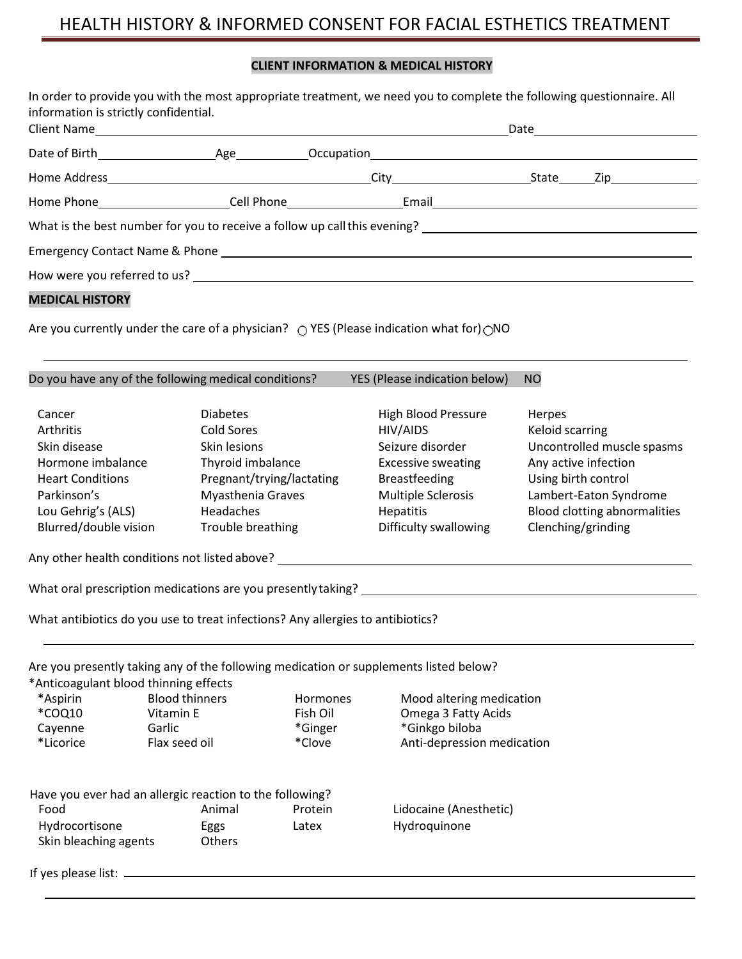# HEALTH HISTORY & INFORMED CONSENT FOR FACIAL ESTHETICS TREATMENT

# **CLIENT INFORMATION & MEDICAL HISTORY**

| information is strictly confidential.                                                                                    |                     |                                                |                                 |                                                                                                                                                            | In order to provide you with the most appropriate treatment, we need you to complete the following questionnaire. All |
|--------------------------------------------------------------------------------------------------------------------------|---------------------|------------------------------------------------|---------------------------------|------------------------------------------------------------------------------------------------------------------------------------------------------------|-----------------------------------------------------------------------------------------------------------------------|
|                                                                                                                          |                     |                                                |                                 |                                                                                                                                                            |                                                                                                                       |
|                                                                                                                          |                     |                                                |                                 |                                                                                                                                                            |                                                                                                                       |
|                                                                                                                          |                     |                                                |                                 |                                                                                                                                                            |                                                                                                                       |
|                                                                                                                          |                     |                                                |                                 |                                                                                                                                                            |                                                                                                                       |
|                                                                                                                          |                     |                                                |                                 |                                                                                                                                                            |                                                                                                                       |
|                                                                                                                          |                     |                                                |                                 |                                                                                                                                                            |                                                                                                                       |
|                                                                                                                          |                     |                                                |                                 |                                                                                                                                                            |                                                                                                                       |
| <b>MEDICAL HISTORY</b>                                                                                                   |                     |                                                |                                 |                                                                                                                                                            |                                                                                                                       |
| Do you have any of the following medical conditions?                                                                     |                     |                                                |                                 | Are you currently under the care of a physician? $\bigcirc$ YES (Please indication what for) $\bigcirc$ NO<br>YES (Please indication below)                | <b>NO</b>                                                                                                             |
|                                                                                                                          |                     |                                                |                                 |                                                                                                                                                            |                                                                                                                       |
| Cancer                                                                                                                   |                     | <b>Diabetes</b>                                |                                 | <b>High Blood Pressure</b>                                                                                                                                 | Herpes                                                                                                                |
| Arthritis                                                                                                                |                     | <b>Cold Sores</b>                              |                                 | HIV/AIDS                                                                                                                                                   | Keloid scarring                                                                                                       |
| Skin disease                                                                                                             |                     | Skin lesions                                   |                                 | Seizure disorder                                                                                                                                           | Uncontrolled muscle spasms                                                                                            |
| Hormone imbalance<br><b>Heart Conditions</b>                                                                             |                     | Thyroid imbalance<br>Pregnant/trying/lactating |                                 | <b>Excessive sweating</b><br><b>Breastfeeding</b>                                                                                                          | Any active infection                                                                                                  |
| Parkinson's                                                                                                              |                     | Myasthenia Graves                              |                                 | <b>Multiple Sclerosis</b>                                                                                                                                  | Using birth control<br>Lambert-Eaton Syndrome                                                                         |
| Lou Gehrig's (ALS)                                                                                                       |                     | Headaches                                      |                                 | <b>Hepatitis</b>                                                                                                                                           | <b>Blood clotting abnormalities</b>                                                                                   |
| Blurred/double vision                                                                                                    |                     | Trouble breathing                              |                                 | Difficulty swallowing                                                                                                                                      | Clenching/grinding                                                                                                    |
|                                                                                                                          |                     |                                                |                                 | Any other health conditions not listed above? __________________________________                                                                           |                                                                                                                       |
|                                                                                                                          |                     |                                                |                                 |                                                                                                                                                            |                                                                                                                       |
| What antibiotics do you use to treat infections? Any allergies to antibiotics?                                           |                     |                                                |                                 |                                                                                                                                                            |                                                                                                                       |
| *Anticoagulant blood thinning effects<br>*Aspirin<br>*COQ10<br>Cayenne                                                   | Vitamin E<br>Garlic | <b>Blood thinners</b>                          | Hormones<br>Fish Oil<br>*Ginger | Are you presently taking any of the following medication or supplements listed below?<br>Mood altering medication<br>Omega 3 Fatty Acids<br>*Ginkgo biloba |                                                                                                                       |
| *Licorice<br>Have you ever had an allergic reaction to the following?<br>Food<br>Hydrocortisone<br>Skin bleaching agents | Flax seed oil       | Animal<br>Eggs<br>Others                       | *Clove<br>Protein<br>Latex      | Anti-depression medication<br>Lidocaine (Anesthetic)<br>Hydroquinone                                                                                       |                                                                                                                       |
|                                                                                                                          |                     |                                                |                                 |                                                                                                                                                            |                                                                                                                       |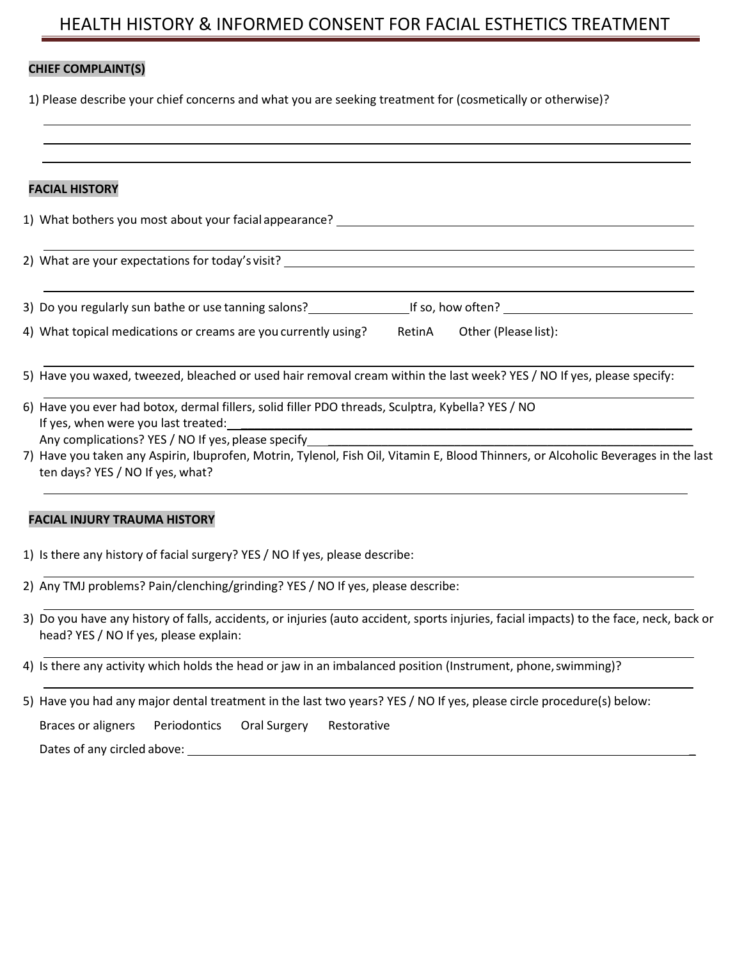# HEALTH HISTORY & INFORMED CONSENT FOR FACIAL ESTHETICS TREATMENT

## **CHIEF COMPLAINT(S)**

1) Please describe your chief concerns and what you are seeking treatment for (cosmetically or otherwise)?

## **FACIAL HISTORY**

1) What bothers you most about your facial appearance?

2) What are your expectations for today's visit?

3) Do you regularly sun bathe or use tanning salons? If so, how often?

4) What topical medications or creams are you currently using? RetinA Other (Please list):

5) Have you waxed, tweezed, bleached or used hair removal cream within the last week? YES / NO If yes, please specify:

| 6) Have you ever had botox, dermal fillers, solid filler PDO threads, Sculptra, Kybella? YES / NO |
|---------------------------------------------------------------------------------------------------|
| If yes, when were you last treated:                                                               |
|                                                                                                   |

Any complications? YES / NO If yes, please specify

7) Have you taken any Aspirin, Ibuprofen, Motrin, Tylenol, Fish Oil, Vitamin E, Blood Thinners, or Alcoholic Beverages in the last ten days? YES / NO If yes, what?

#### **FACIAL INJURY TRAUMA HISTORY**

|  |  |  |  |  | 1) Is there any history of facial surgery? YES / NO If yes, please describe: |
|--|--|--|--|--|------------------------------------------------------------------------------|
|--|--|--|--|--|------------------------------------------------------------------------------|

2) Any TMJ problems? Pain/clenching/grinding? YES / NO If yes, please describe:

3) Do you have any history of falls, accidents, or injuries (auto accident, sports injuries, facial impacts) to the face, neck, back or head? YES / NO If yes, please explain:

4) Is there any activity which holds the head or jaw in an imbalanced position (Instrument, phone, swimming)?

5) Have you had any major dental treatment in the last two years? YES / NO If yes, please circle procedure(s) below: Braces or aligners Periodontics Oral Surgery Restorative Dates of any circled above: \_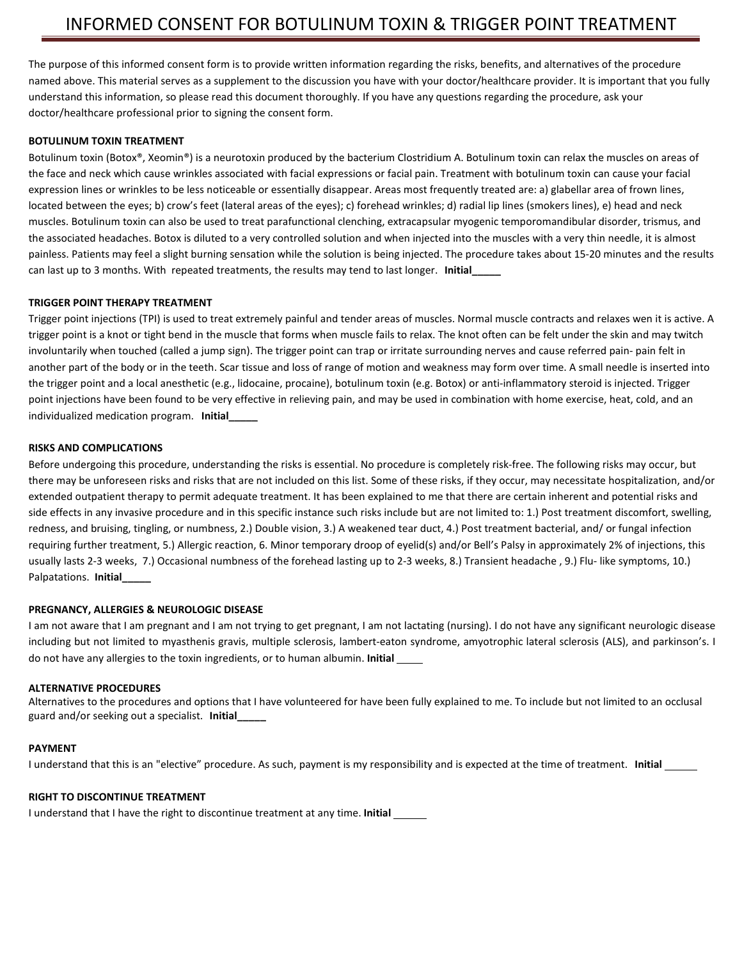The purpose of this informed consent form is to provide written information regarding the risks, benefits, and alternatives of the procedure named above. This material serves as a supplement to the discussion you have with your doctor/healthcare provider. It is important that you fully understand this information, so please read this document thoroughly. If you have any questions regarding the procedure, ask your doctor/healthcare professional prior to signing the consent form.

#### **BOTULINUM TOXIN TREATMENT**

Botulinum toxin (Botox®, Xeomin®) is a neurotoxin produced by the bacterium Clostridium A. Botulinum toxin can relax the muscles on areas of the face and neck which cause wrinkles associated with facial expressions or facial pain. Treatment with botulinum toxin can cause your facial expression lines or wrinkles to be less noticeable or essentially disappear. Areas most frequently treated are: a) glabellar area of frown lines, located between the eyes; b) crow's feet (lateral areas of the eyes); c) forehead wrinkles; d) radial lip lines (smokers lines), e) head and neck muscles. Botulinum toxin can also be used to treat parafunctional clenching, extracapsular myogenic temporomandibular disorder, trismus, and the associated headaches. Botox is diluted to a very controlled solution and when injected into the muscles with a very thin needle, it is almost painless. Patients may feel a slight burning sensation while the solution is being injected. The procedure takes about 15-20 minutes and the results can last up to 3 months. With repeated treatments, the results may tend to last longer. **Initial\_\_\_\_\_**

#### **TRIGGER POINT THERAPY TREATMENT**

Trigger point injections (TPI) is used to treat extremely painful and tender areas of muscles. Normal muscle contracts and relaxes wen it is active. A trigger point is a knot or tight bend in the muscle that forms when muscle fails to relax. The knot often can be felt under the skin and may twitch involuntarily when touched (called a jump sign). The trigger point can trap or irritate surrounding nerves and cause referred pain- pain felt in another part of the body or in the teeth. Scar tissue and loss of range of motion and weakness may form over time. A small needle is inserted into the trigger point and a local anesthetic (e.g., lidocaine, procaine), botulinum toxin (e.g. Botox) or anti-inflammatory steroid is injected. Trigger point injections have been found to be very effective in relieving pain, and may be used in combination with home exercise, heat, cold, and an individualized medication program. **Initial\_\_\_\_\_**

#### **RISKS AND COMPLICATIONS**

Before undergoing this procedure, understanding the risks is essential. No procedure is completely risk-free. The following risks may occur, but there may be unforeseen risks and risks that are not included on this list. Some of these risks, if they occur, may necessitate hospitalization, and/or extended outpatient therapy to permit adequate treatment. It has been explained to me that there are certain inherent and potential risks and side effects in any invasive procedure and in this specific instance such risks include but are not limited to: 1.) Post treatment discomfort, swelling, redness, and bruising, tingling, or numbness, 2.) Double vision, 3.) A weakened tear duct, 4.) Post treatment bacterial, and/ or fungal infection requiring further treatment, 5.) Allergic reaction, 6. Minor temporary droop of eyelid(s) and/or Bell's Palsy in approximately 2% of injections, this usually lasts 2-3 weeks, 7.) Occasional numbness of the forehead lasting up to 2-3 weeks, 8.) Transient headache , 9.) Flu- like symptoms, 10.) Palpatations. **Initial\_\_\_\_\_**

#### **PREGNANCY, ALLERGIES & NEUROLOGIC DISEASE**

I am not aware that I am pregnant and I am not trying to get pregnant, I am not lactating (nursing). I do not have any significant neurologic disease including but not limited to myasthenis gravis, multiple sclerosis, lambert-eaton syndrome, amyotrophic lateral sclerosis (ALS), and parkinson's. I do not have any allergies to the toxin ingredients, or to human albumin. **Initial** 

#### **ALTERNATIVE PROCEDURES**

Alternatives to the procedures and options that I have volunteered for have been fully explained to me. To include but not limited to an occlusal guard and/or seeking out a specialist. **Initial\_\_\_\_\_**

#### **PAYMENT**

I understand that this is an "elective" procedure. As such, payment is my responsibility and is expected at the time of treatment. **Initial**

#### **RIGHT TO DISCONTINUE TREATMENT**

I understand that I have the right to discontinue treatment at any time. **Initial**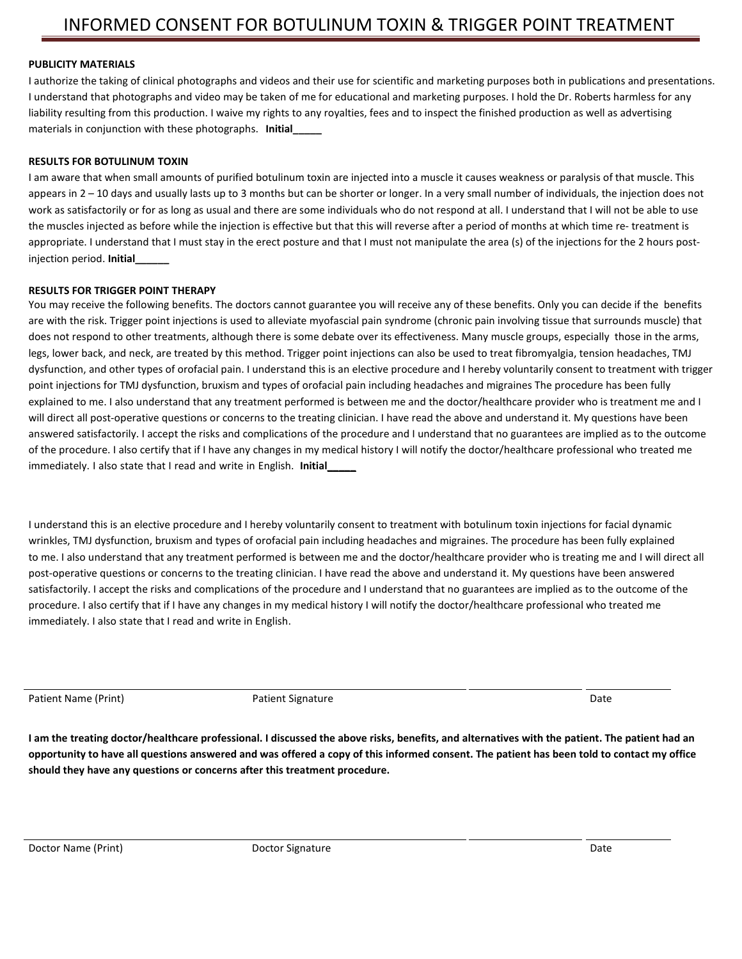#### **PUBLICITY MATERIALS**

I authorize the taking of clinical photographs and videos and their use for scientific and marketing purposes both in publications and presentations. I understand that photographs and video may be taken of me for educational and marketing purposes. I hold the Dr. Roberts harmless for any liability resulting from this production. I waive my rights to any royalties, fees and to inspect the finished production as well as advertising materials in conjunction with these photographs. **Initial\_\_\_\_\_**

#### **RESULTS FOR BOTULINUM TOXIN**

I am aware that when small amounts of purified botulinum toxin are injected into a muscle it causes weakness or paralysis of that muscle. This appears in 2 – 10 days and usually lasts up to 3 months but can be shorter or longer. In a very small number of individuals, the injection does not work as satisfactorily or for as long as usual and there are some individuals who do not respond at all. I understand that I will not be able to use the muscles injected as before while the injection is effective but that this will reverse after a period of months at which time re- treatment is appropriate. I understand that I must stay in the erect posture and that I must not manipulate the area (s) of the injections for the 2 hours postinjection period. **Initial\_\_\_\_\_\_**

#### **RESULTS FOR TRIGGER POINT THERAPY**

You may receive the following benefits. The doctors cannot guarantee you will receive any of these benefits. Only you can decide if the benefits are with the risk. Trigger point injections is used to alleviate myofascial pain syndrome (chronic pain involving tissue that surrounds muscle) that does not respond to other treatments, although there is some debate over its effectiveness. Many muscle groups, especially those in the arms, legs, lower back, and neck, are treated by this method. Trigger point injections can also be used to treat fibromyalgia, tension headaches, TMJ dysfunction, and other types of orofacial pain. I understand this is an elective procedure and I hereby voluntarily consent to treatment with trigger point injections for TMJ dysfunction, bruxism and types of orofacial pain including headaches and migraines The procedure has been fully explained to me. I also understand that any treatment performed is between me and the doctor/healthcare provider who is treatment me and I will direct all post-operative questions or concerns to the treating clinician. I have read the above and understand it. My questions have been answered satisfactorily. I accept the risks and complications of the procedure and I understand that no guarantees are implied as to the outcome of the procedure. I also certify that if I have any changes in my medical history I will notify the doctor/healthcare professional who treated me immediately. I also state that I read and write in English. **Initial\_\_\_\_\_**

I understand this is an elective procedure and I hereby voluntarily consent to treatment with botulinum toxin injections for facial dynamic wrinkles, TMJ dysfunction, bruxism and types of orofacial pain including headaches and migraines. The procedure has been fully explained to me. I also understand that any treatment performed is between me and the doctor/healthcare provider who is treating me and I will direct all post-operative questions or concerns to the treating clinician. I have read the above and understand it. My questions have been answered satisfactorily. I accept the risks and complications of the procedure and I understand that no guarantees are implied as to the outcome of the procedure. I also certify that if I have any changes in my medical history I will notify the doctor/healthcare professional who treated me immediately. I also state that I read and write in English.

Patient Name (Print) **Patient Signature** Patient Signature **Patient Signature** Patient Controller and Date

**I am the treating doctor/healthcare professional. I discussed the above risks, benefits, and alternatives with the patient. The patient had an opportunity to have all questions answered and was offered a copy of this informed consent. The patient has been told to contact my office should they have any questions or concerns after this treatment procedure.**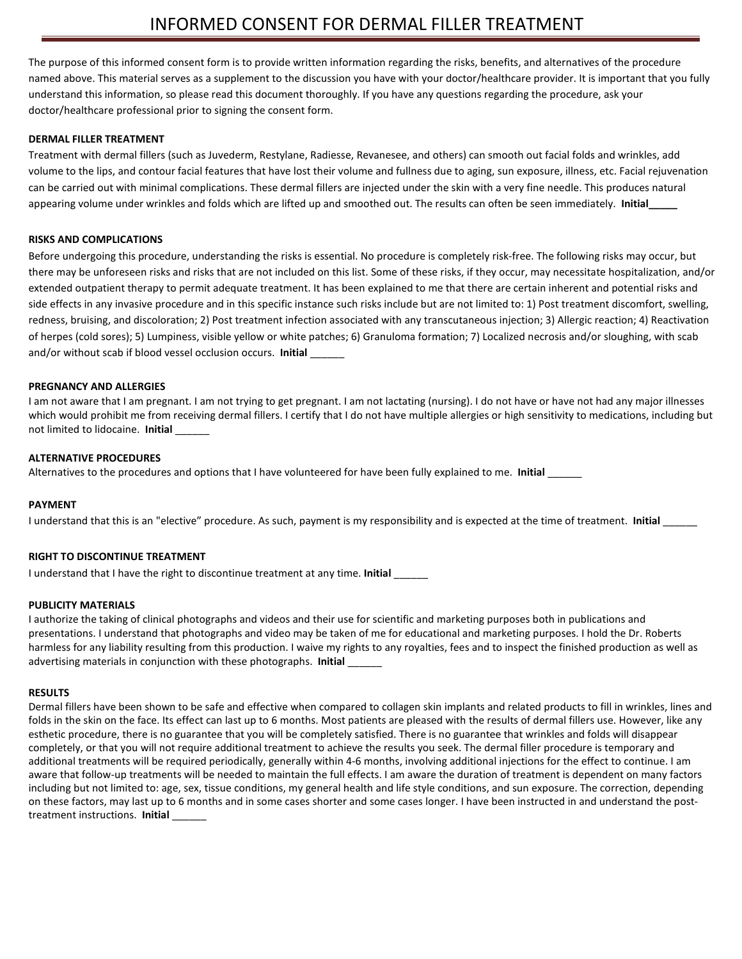The purpose of this informed consent form is to provide written information regarding the risks, benefits, and alternatives of the procedure named above. This material serves as a supplement to the discussion you have with your doctor/healthcare provider. It is important that you fully understand this information, so please read this document thoroughly. If you have any questions regarding the procedure, ask your doctor/healthcare professional prior to signing the consent form.

#### **DERMAL FILLER TREATMENT**

Treatment with dermal fillers (such as Juvederm, Restylane, Radiesse, Revanesee, and others) can smooth out facial folds and wrinkles, add volume to the lips, and contour facial features that have lost their volume and fullness due to aging, sun exposure, illness, etc. Facial rejuvenation can be carried out with minimal complications. These dermal fillers are injected under the skin with a very fine needle. This produces natural appearing volume under wrinkles and folds which are lifted up and smoothed out. The results can often be seen immediately. **Initial\_\_\_\_\_**

#### **RISKS AND COMPLICATIONS**

Before undergoing this procedure, understanding the risks is essential. No procedure is completely risk-free. The following risks may occur, but there may be unforeseen risks and risks that are not included on this list. Some of these risks, if they occur, may necessitate hospitalization, and/or extended outpatient therapy to permit adequate treatment. It has been explained to me that there are certain inherent and potential risks and side effects in any invasive procedure and in this specific instance such risks include but are not limited to: 1) Post treatment discomfort, swelling, redness, bruising, and discoloration; 2) Post treatment infection associated with any transcutaneous injection; 3) Allergic reaction; 4) Reactivation of herpes (cold sores); 5) Lumpiness, visible yellow or white patches; 6) Granuloma formation; 7) Localized necrosis and/or sloughing, with scab and/or without scab if blood vessel occlusion occurs. **Initial** \_\_\_\_\_\_

#### **PREGNANCY AND ALLERGIES**

I am not aware that I am pregnant. I am not trying to get pregnant. I am not lactating (nursing). I do not have or have not had any major illnesses which would prohibit me from receiving dermal fillers. I certify that I do not have multiple allergies or high sensitivity to medications, including but not limited to lidocaine. **Initial** \_\_\_\_\_\_

#### **ALTERNATIVE PROCEDURES**

Alternatives to the procedures and options that I have volunteered for have been fully explained to me. **Initial** \_\_\_\_\_\_

#### **PAYMENT**

I understand that this is an "elective" procedure. As such, payment is my responsibility and is expected at the time of treatment. **Initial** \_\_\_\_\_\_

#### **RIGHT TO DISCONTINUE TREATMENT**

I understand that I have the right to discontinue treatment at any time. **Initial** \_\_\_\_\_\_

#### **PUBLICITY MATERIALS**

I authorize the taking of clinical photographs and videos and their use for scientific and marketing purposes both in publications and presentations. I understand that photographs and video may be taken of me for educational and marketing purposes. I hold the Dr. Roberts harmless for any liability resulting from this production. I waive my rights to any royalties, fees and to inspect the finished production as well as advertising materials in conjunction with these photographs. **Initial** \_\_\_\_\_\_

#### **RESULTS**

Dermal fillers have been shown to be safe and effective when compared to collagen skin implants and related products to fill in wrinkles, lines and folds in the skin on the face. Its effect can last up to 6 months. Most patients are pleased with the results of dermal fillers use. However, like any esthetic procedure, there is no guarantee that you will be completely satisfied. There is no guarantee that wrinkles and folds will disappear completely, or that you will not require additional treatment to achieve the results you seek. The dermal filler procedure is temporary and additional treatments will be required periodically, generally within 4-6 months, involving additional injections for the effect to continue. I am aware that follow-up treatments will be needed to maintain the full effects. I am aware the duration of treatment is dependent on many factors including but not limited to: age, sex, tissue conditions, my general health and life style conditions, and sun exposure. The correction, depending on these factors, may last up to 6 months and in some cases shorter and some cases longer. I have been instructed in and understand the posttreatment instructions. **Initial** \_\_\_\_\_\_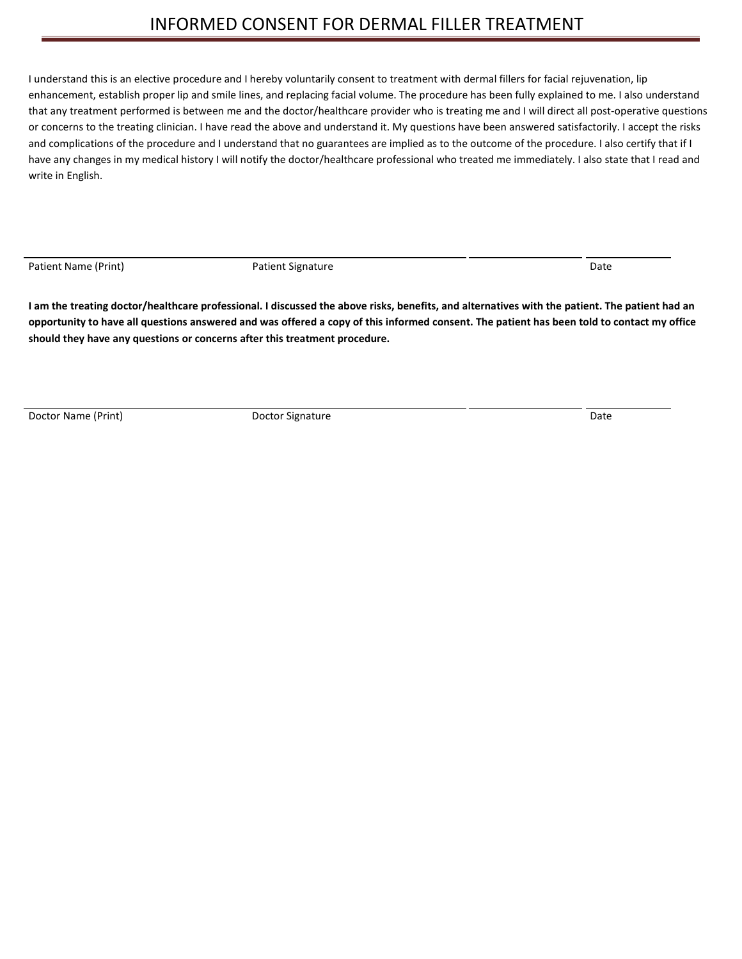# INFORMED CONSENT FOR DERMAL FILLER TREATMENT

I understand this is an elective procedure and I hereby voluntarily consent to treatment with dermal fillers for facial rejuvenation, lip enhancement, establish proper lip and smile lines, and replacing facial volume. The procedure has been fully explained to me. I also understand that any treatment performed is between me and the doctor/healthcare provider who is treating me and I will direct all post-operative questions or concerns to the treating clinician. I have read the above and understand it. My questions have been answered satisfactorily. I accept the risks and complications of the procedure and I understand that no guarantees are implied as to the outcome of the procedure. I also certify that if I have any changes in my medical history I will notify the doctor/healthcare professional who treated me immediately. I also state that I read and write in English.

Patient Name (Print) **Patient Signature** Patient Signature **Patient Signature** Patient Context of Date

**I am the treating doctor/healthcare professional. I discussed the above risks, benefits, and alternatives with the patient. The patient had an opportunity to have all questions answered and was offered a copy of this informed consent. The patient has been told to contact my office should they have any questions or concerns after this treatment procedure.**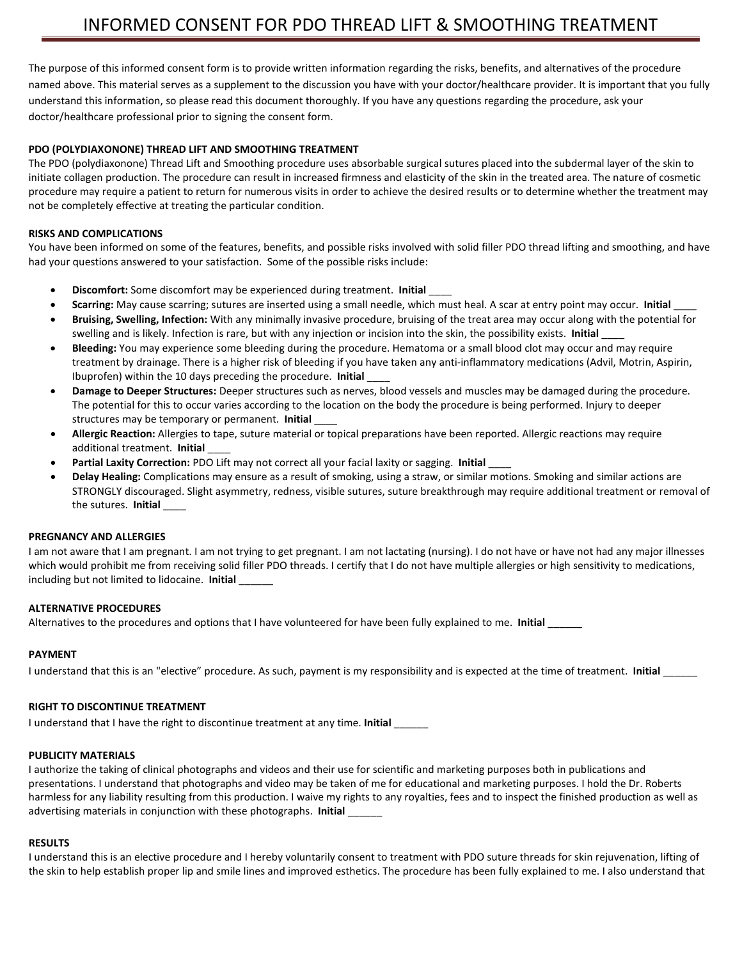The purpose of this informed consent form is to provide written information regarding the risks, benefits, and alternatives of the procedure named above. This material serves as a supplement to the discussion you have with your doctor/healthcare provider. It is important that you fully understand this information, so please read this document thoroughly. If you have any questions regarding the procedure, ask your doctor/healthcare professional prior to signing the consent form.

#### **PDO (POLYDIAXONONE) THREAD LIFT AND SMOOTHING TREATMENT**

The PDO (polydiaxonone) Thread Lift and Smoothing procedure uses absorbable surgical sutures placed into the subdermal layer of the skin to initiate collagen production. The procedure can result in increased firmness and elasticity of the skin in the treated area. The nature of cosmetic procedure may require a patient to return for numerous visits in order to achieve the desired results or to determine whether the treatment may not be completely effective at treating the particular condition.

#### **RISKS AND COMPLICATIONS**

You have been informed on some of the features, benefits, and possible risks involved with solid filler PDO thread lifting and smoothing, and have had your questions answered to your satisfaction. Some of the possible risks include:

- **Discomfort:** Some discomfort may be experienced during treatment. **Initial** \_\_\_\_
- **Scarring:** May cause scarring; sutures are inserted using a small needle, which must heal. A scar at entry point may occur. **Initial** \_\_\_\_
- **Bruising, Swelling, Infection:** With any minimally invasive procedure, bruising of the treat area may occur along with the potential for swelling and is likely. Infection is rare, but with any injection or incision into the skin, the possibility exists. **Initial** \_\_\_\_
- **Bleeding:** You may experience some bleeding during the procedure. Hematoma or a small blood clot may occur and may require treatment by drainage. There is a higher risk of bleeding if you have taken any anti-inflammatory medications (Advil, Motrin, Aspirin, Ibuprofen) within the 10 days preceding the procedure. **Initial** \_\_\_\_
- **Damage to Deeper Structures:** Deeper structures such as nerves, blood vessels and muscles may be damaged during the procedure. The potential for this to occur varies according to the location on the body the procedure is being performed. Injury to deeper structures may be temporary or permanent. **Initial** \_\_\_\_
- **Allergic Reaction:** Allergies to tape, suture material or topical preparations have been reported. Allergic reactions may require additional treatment. **Initial** \_\_\_\_
- **Partial Laxity Correction:** PDO Lift may not correct all your facial laxity or sagging. **Initial** \_\_\_\_
- **Delay Healing:** Complications may ensure as a result of smoking, using a straw, or similar motions. Smoking and similar actions are STRONGLY discouraged. Slight asymmetry, redness, visible sutures, suture breakthrough may require additional treatment or removal of the sutures. **Initial** \_\_\_\_

#### **PREGNANCY AND ALLERGIES**

I am not aware that I am pregnant. I am not trying to get pregnant. I am not lactating (nursing). I do not have or have not had any major illnesses which would prohibit me from receiving solid filler PDO threads. I certify that I do not have multiple allergies or high sensitivity to medications, including but not limited to lidocaine. **Initial** \_\_\_\_\_\_

#### **ALTERNATIVE PROCEDURES**

Alternatives to the procedures and options that I have volunteered for have been fully explained to me. **Initial** \_\_\_\_\_\_

#### **PAYMENT**

I understand that this is an "elective" procedure. As such, payment is my responsibility and is expected at the time of treatment. **Initial** \_\_\_\_\_\_

#### **RIGHT TO DISCONTINUE TREATMENT**

I understand that I have the right to discontinue treatment at any time. **Initial** 

#### **PUBLICITY MATERIALS**

I authorize the taking of clinical photographs and videos and their use for scientific and marketing purposes both in publications and presentations. I understand that photographs and video may be taken of me for educational and marketing purposes. I hold the Dr. Roberts harmless for any liability resulting from this production. I waive my rights to any royalties, fees and to inspect the finished production as well as advertising materials in conjunction with these photographs. **Initial** \_\_\_\_\_\_

#### **RESULTS**

I understand this is an elective procedure and I hereby voluntarily consent to treatment with PDO suture threads for skin rejuvenation, lifting of the skin to help establish proper lip and smile lines and improved esthetics. The procedure has been fully explained to me. I also understand that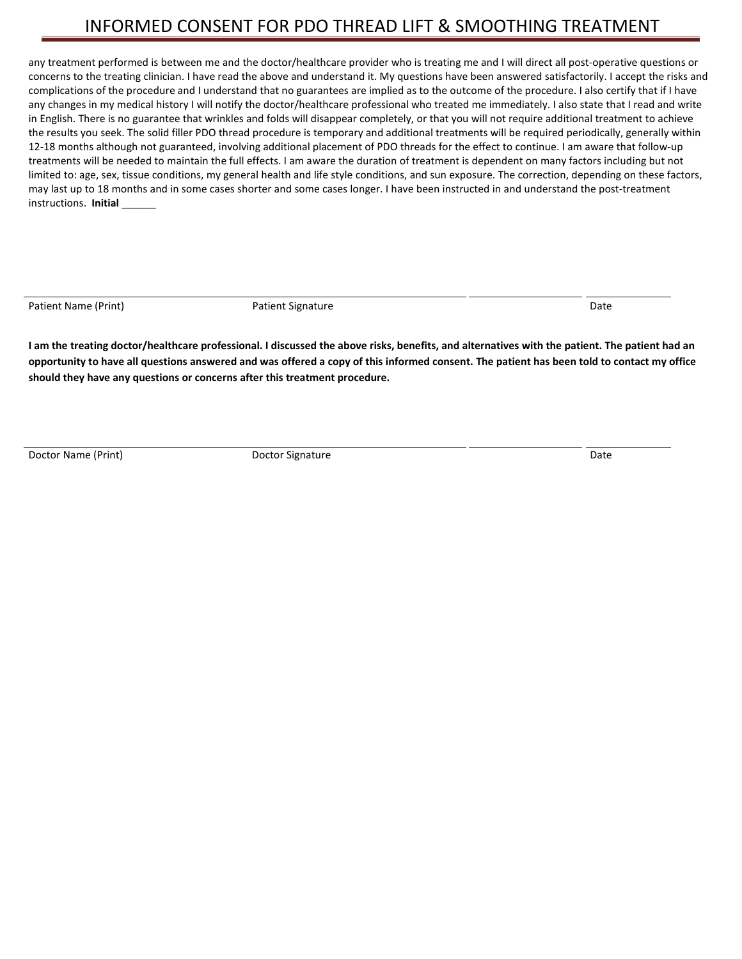# INFORMED CONSENT FOR PDO THREAD LIFT & SMOOTHING TREATMENT

any treatment performed is between me and the doctor/healthcare provider who is treating me and I will direct all post-operative questions or concerns to the treating clinician. I have read the above and understand it. My questions have been answered satisfactorily. I accept the risks and complications of the procedure and I understand that no guarantees are implied as to the outcome of the procedure. I also certify that if I have any changes in my medical history I will notify the doctor/healthcare professional who treated me immediately. I also state that I read and write in English. There is no guarantee that wrinkles and folds will disappear completely, or that you will not require additional treatment to achieve the results you seek. The solid filler PDO thread procedure is temporary and additional treatments will be required periodically, generally within 12-18 months although not guaranteed, involving additional placement of PDO threads for the effect to continue. I am aware that follow-up treatments will be needed to maintain the full effects. I am aware the duration of treatment is dependent on many factors including but not limited to: age, sex, tissue conditions, my general health and life style conditions, and sun exposure. The correction, depending on these factors, may last up to 18 months and in some cases shorter and some cases longer. I have been instructed in and understand the post-treatment instructions. **Initial** \_\_\_\_\_\_

Patient Name (Print) **Patient Signature** Patient Signature **Patient Signature** Patient Controller and Date

**I am the treating doctor/healthcare professional. I discussed the above risks, benefits, and alternatives with the patient. The patient had an opportunity to have all questions answered and was offered a copy of this informed consent. The patient has been told to contact my office should they have any questions or concerns after this treatment procedure.**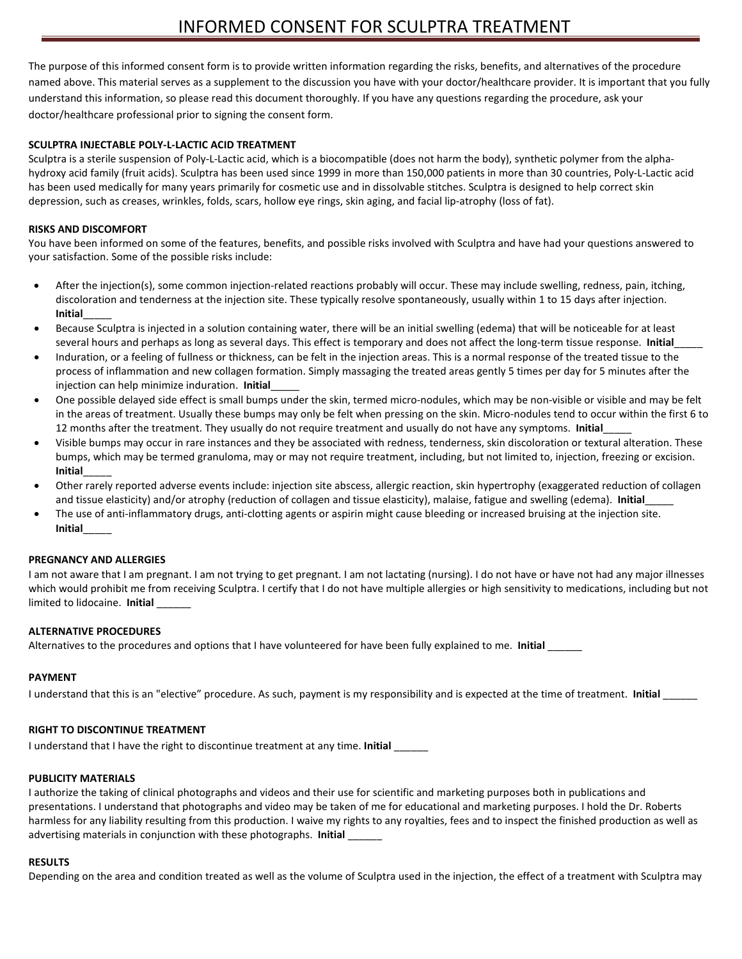The purpose of this informed consent form is to provide written information regarding the risks, benefits, and alternatives of the procedure named above. This material serves as a supplement to the discussion you have with your doctor/healthcare provider. It is important that you fully understand this information, so please read this document thoroughly. If you have any questions regarding the procedure, ask your doctor/healthcare professional prior to signing the consent form.

#### **SCULPTRA INJECTABLE POLY-L-LACTIC ACID TREATMENT**

Sculptra is a sterile suspension of Poly-L-Lactic acid, which is a biocompatible (does not harm the body), synthetic polymer from the alphahydroxy acid family (fruit acids). Sculptra has been used since 1999 in more than 150,000 patients in more than 30 countries, Poly-L-Lactic acid has been used medically for many years primarily for cosmetic use and in dissolvable stitches. Sculptra is designed to help correct skin depression, such as creases, wrinkles, folds, scars, hollow eye rings, skin aging, and facial lip-atrophy (loss of fat).

#### **RISKS AND DISCOMFORT**

You have been informed on some of the features, benefits, and possible risks involved with Sculptra and have had your questions answered to your satisfaction. Some of the possible risks include:

- After the injection(s), some common injection-related reactions probably will occur. These may include swelling, redness, pain, itching, discoloration and tenderness at the injection site. These typically resolve spontaneously, usually within 1 to 15 days after injection. **Initial**\_\_\_\_\_
- Because Sculptra is injected in a solution containing water, there will be an initial swelling (edema) that will be noticeable for at least several hours and perhaps as long as several days. This effect is temporary and does not affect the long-term tissue response. **Initial**\_\_\_\_\_
- Induration, or a feeling of fullness or thickness, can be felt in the injection areas. This is a normal response of the treated tissue to the process of inflammation and new collagen formation. Simply massaging the treated areas gently 5 times per day for 5 minutes after the injection can help minimize induration. **Initial**\_\_\_\_\_
- One possible delayed side effect is small bumps under the skin, termed micro-nodules, which may be non-visible or visible and may be felt in the areas of treatment. Usually these bumps may only be felt when pressing on the skin. Micro-nodules tend to occur within the first 6 to 12 months after the treatment. They usually do not require treatment and usually do not have any symptoms. **Initial**\_\_\_\_\_
- Visible bumps may occur in rare instances and they be associated with redness, tenderness, skin discoloration or textural alteration. These bumps, which may be termed granuloma, may or may not require treatment, including, but not limited to, injection, freezing or excision. **Initial**\_\_\_\_\_
- Other rarely reported adverse events include: injection site abscess, allergic reaction, skin hypertrophy (exaggerated reduction of collagen and tissue elasticity) and/or atrophy (reduction of collagen and tissue elasticity), malaise, fatigue and swelling (edema). Initial\_
- The use of anti-inflammatory drugs, anti-clotting agents or aspirin might cause bleeding or increased bruising at the injection site. **Initial**\_\_\_\_\_

#### **PREGNANCY AND ALLERGIES**

I am not aware that I am pregnant. I am not trying to get pregnant. I am not lactating (nursing). I do not have or have not had any major illnesses which would prohibit me from receiving Sculptra. I certify that I do not have multiple allergies or high sensitivity to medications, including but not limited to lidocaine. **Initial** \_\_\_\_\_\_

#### **ALTERNATIVE PROCEDURES**

Alternatives to the procedures and options that I have volunteered for have been fully explained to me. **Initial** \_\_\_\_\_\_

#### **PAYMENT**

I understand that this is an "elective" procedure. As such, payment is my responsibility and is expected at the time of treatment. Initial

#### **RIGHT TO DISCONTINUE TREATMENT**

I understand that I have the right to discontinue treatment at any time. **Initial** \_\_\_\_\_\_

#### **PUBLICITY MATERIALS**

I authorize the taking of clinical photographs and videos and their use for scientific and marketing purposes both in publications and presentations. I understand that photographs and video may be taken of me for educational and marketing purposes. I hold the Dr. Roberts harmless for any liability resulting from this production. I waive my rights to any royalties, fees and to inspect the finished production as well as advertising materials in conjunction with these photographs. **Initial** \_\_\_\_\_\_

#### **RESULTS**

Depending on the area and condition treated as well as the volume of Sculptra used in the injection, the effect of a treatment with Sculptra may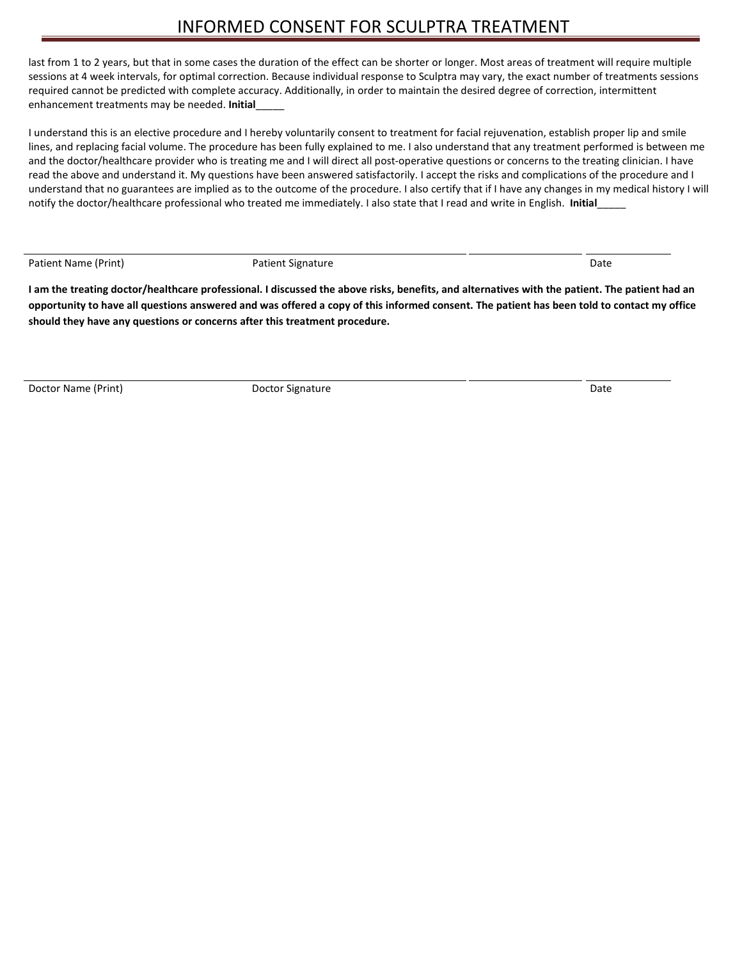last from 1 to 2 years, but that in some cases the duration of the effect can be shorter or longer. Most areas of treatment will require multiple sessions at 4 week intervals, for optimal correction. Because individual response to Sculptra may vary, the exact number of treatments sessions required cannot be predicted with complete accuracy. Additionally, in order to maintain the desired degree of correction, intermittent enhancement treatments may be needed. **Initial**\_\_\_\_\_

I understand this is an elective procedure and I hereby voluntarily consent to treatment for facial rejuvenation, establish proper lip and smile lines, and replacing facial volume. The procedure has been fully explained to me. I also understand that any treatment performed is between me and the doctor/healthcare provider who is treating me and I will direct all post-operative questions or concerns to the treating clinician. I have read the above and understand it. My questions have been answered satisfactorily. I accept the risks and complications of the procedure and I understand that no guarantees are implied as to the outcome of the procedure. I also certify that if I have any changes in my medical history I will notify the doctor/healthcare professional who treated me immediately. I also state that I read and write in English. **Initial**\_\_\_\_\_

Patient Name (Print) **Patient Signature** Patient Signature **Patient Signature** Patient Controller Patient Controller

**I am the treating doctor/healthcare professional. I discussed the above risks, benefits, and alternatives with the patient. The patient had an opportunity to have all questions answered and was offered a copy of this informed consent. The patient has been told to contact my office should they have any questions or concerns after this treatment procedure.**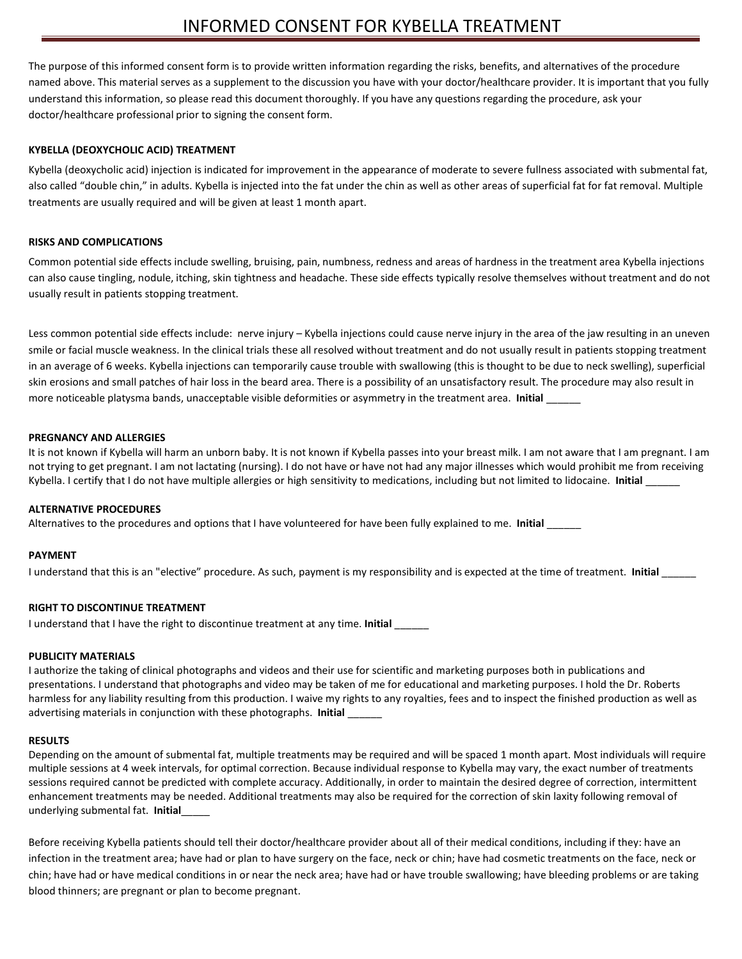The purpose of this informed consent form is to provide written information regarding the risks, benefits, and alternatives of the procedure named above. This material serves as a supplement to the discussion you have with your doctor/healthcare provider. It is important that you fully understand this information, so please read this document thoroughly. If you have any questions regarding the procedure, ask your doctor/healthcare professional prior to signing the consent form.

#### **KYBELLA (DEOXYCHOLIC ACID) TREATMENT**

Kybella (deoxycholic acid) injection is indicated for improvement in the appearance of moderate to severe fullness associated with submental fat, also called "double chin," in adults. Kybella is injected into the fat under the chin as well as other areas of superficial fat for fat removal. Multiple treatments are usually required and will be given at least 1 month apart.

#### **RISKS AND COMPLICATIONS**

Common potential side effects include swelling, bruising, pain, numbness, redness and areas of hardness in the treatment area Kybella injections can also cause tingling, nodule, itching, skin tightness and headache. These side effects typically resolve themselves without treatment and do not usually result in patients stopping treatment.

Less common potential side effects include: nerve injury – Kybella injections could cause nerve injury in the area of the jaw resulting in an uneven smile or facial muscle weakness. In the clinical trials these all resolved without treatment and do not usually result in patients stopping treatment in an average of 6 weeks. Kybella injections can temporarily cause trouble with swallowing (this is thought to be due to neck swelling), superficial skin erosions and small patches of hair loss in the beard area. There is a possibility of an unsatisfactory result. The procedure may also result in more noticeable platysma bands, unacceptable visible deformities or asymmetry in the treatment area. **Initial** \_\_\_\_\_\_

#### **PREGNANCY AND ALLERGIES**

It is not known if Kybella will harm an unborn baby. It is not known if Kybella passes into your breast milk. I am not aware that I am pregnant. I am not trying to get pregnant. I am not lactating (nursing). I do not have or have not had any major illnesses which would prohibit me from receiving Kybella. I certify that I do not have multiple allergies or high sensitivity to medications, including but not limited to lidocaine. **Initial** \_\_\_\_\_\_

#### **ALTERNATIVE PROCEDURES**

Alternatives to the procedures and options that I have volunteered for have been fully explained to me. **Initial** \_\_\_\_\_\_

#### **PAYMENT**

I understand that this is an "elective" procedure. As such, payment is my responsibility and is expected at the time of treatment. **Initial** \_\_\_\_\_\_

#### **RIGHT TO DISCONTINUE TREATMENT**

I understand that I have the right to discontinue treatment at any time. **Initial** \_\_\_\_\_\_

#### **PUBLICITY MATERIALS**

I authorize the taking of clinical photographs and videos and their use for scientific and marketing purposes both in publications and presentations. I understand that photographs and video may be taken of me for educational and marketing purposes. I hold the Dr. Roberts harmless for any liability resulting from this production. I waive my rights to any royalties, fees and to inspect the finished production as well as advertising materials in conjunction with these photographs. **Initial** \_\_\_\_\_\_

#### **RESULTS**

Depending on the amount of submental fat, multiple treatments may be required and will be spaced 1 month apart. Most individuals will require multiple sessions at 4 week intervals, for optimal correction. Because individual response to Kybella may vary, the exact number of treatments sessions required cannot be predicted with complete accuracy. Additionally, in order to maintain the desired degree of correction, intermittent enhancement treatments may be needed. Additional treatments may also be required for the correction of skin laxity following removal of underlying submental fat. **Initial**\_\_\_\_\_

Before receiving Kybella patients should tell their doctor/healthcare provider about all of their medical conditions, including if they: have an infection in the treatment area; have had or plan to have surgery on the face, neck or chin; have had cosmetic treatments on the face, neck or chin; have had or have medical conditions in or near the neck area; have had or have trouble swallowing; have bleeding problems or are taking blood thinners; are pregnant or plan to become pregnant.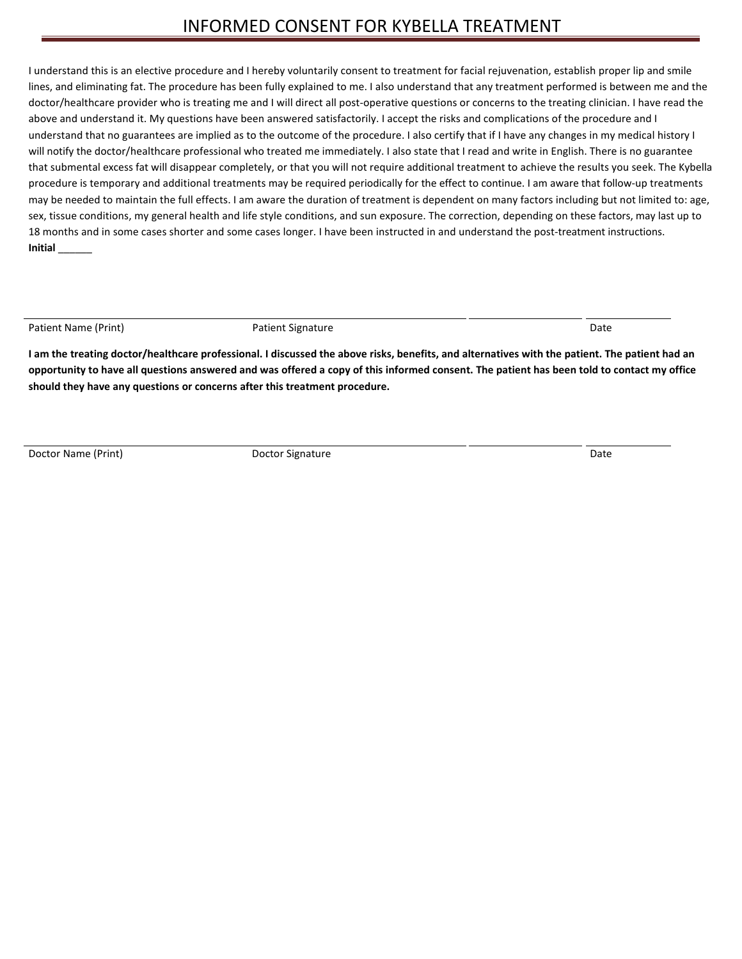I understand this is an elective procedure and I hereby voluntarily consent to treatment for facial rejuvenation, establish proper lip and smile lines, and eliminating fat. The procedure has been fully explained to me. I also understand that any treatment performed is between me and the doctor/healthcare provider who is treating me and I will direct all post-operative questions or concerns to the treating clinician. I have read the above and understand it. My questions have been answered satisfactorily. I accept the risks and complications of the procedure and I understand that no guarantees are implied as to the outcome of the procedure. I also certify that if I have any changes in my medical history I will notify the doctor/healthcare professional who treated me immediately. I also state that I read and write in English. There is no guarantee that submental excess fat will disappear completely, or that you will not require additional treatment to achieve the results you seek. The Kybella procedure is temporary and additional treatments may be required periodically for the effect to continue. I am aware that follow-up treatments may be needed to maintain the full effects. I am aware the duration of treatment is dependent on many factors including but not limited to: age, sex, tissue conditions, my general health and life style conditions, and sun exposure. The correction, depending on these factors, may last up to 18 months and in some cases shorter and some cases longer. I have been instructed in and understand the post-treatment instructions. **Initial** \_\_\_\_\_\_

Patient Name (Print) **Patient Signature** Patient Signature **Patient Signature** Patient Date

**I am the treating doctor/healthcare professional. I discussed the above risks, benefits, and alternatives with the patient. The patient had an opportunity to have all questions answered and was offered a copy of this informed consent. The patient has been told to contact my office should they have any questions or concerns after this treatment procedure.**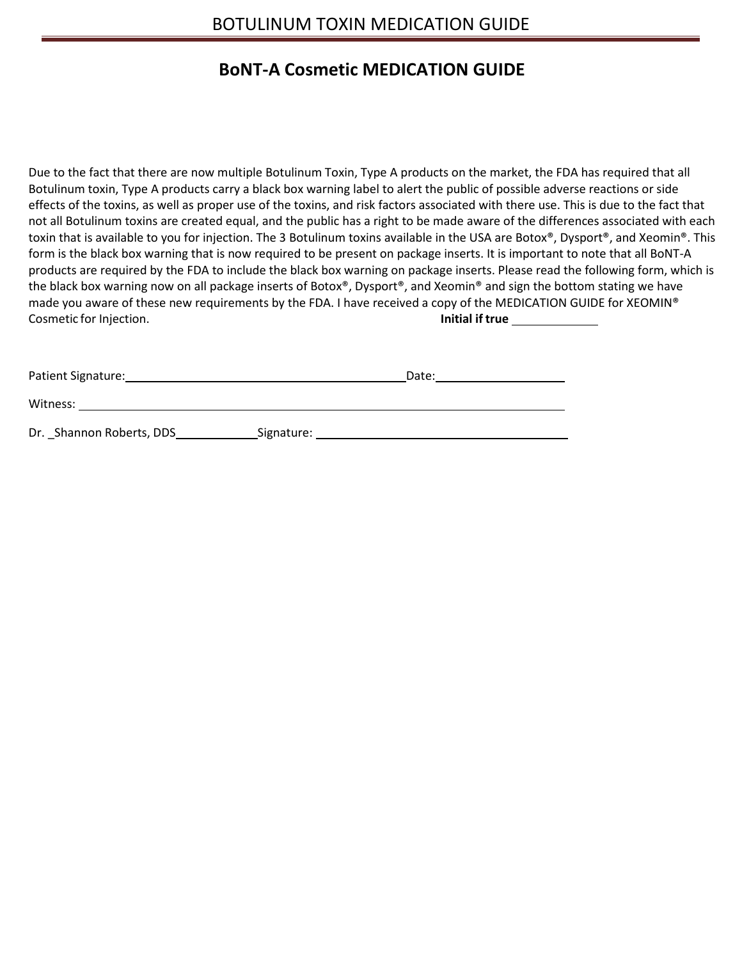# BOTULINUM TOXIN MEDICATION GUIDE

# **BoNT-A Cosmetic MEDICATION GUIDE**

Due to the fact that there are now multiple Botulinum Toxin, Type A products on the market, the FDA has required that all Botulinum toxin, Type A products carry a black box warning label to alert the public of possible adverse reactions or side effects of the toxins, as well as proper use of the toxins, and risk factors associated with there use. This is due to the fact that not all Botulinum toxins are created equal, and the public has a right to be made aware of the differences associated with each toxin that is available to you for injection. The 3 Botulinum toxins available in the USA are Botox®, Dysport®, and Xeomin®. This form is the black box warning that is now required to be present on package inserts. It is important to note that all BoNT-A products are required by the FDA to include the black box warning on package inserts. Please read the following form, which is the black box warning now on all package inserts of Botox®, Dysport®, and Xeomin® and sign the bottom stating we have made you aware of these new requirements by the FDA. I have received a copy of the MEDICATION GUIDE for XEOMIN® Cosmetic for Injection. **Initial if true** 

| <b>Patient Signature:</b> |            | Date: |
|---------------------------|------------|-------|
| Witness:                  |            |       |
| Dr. Shannon Roberts, DDS  | Signature: |       |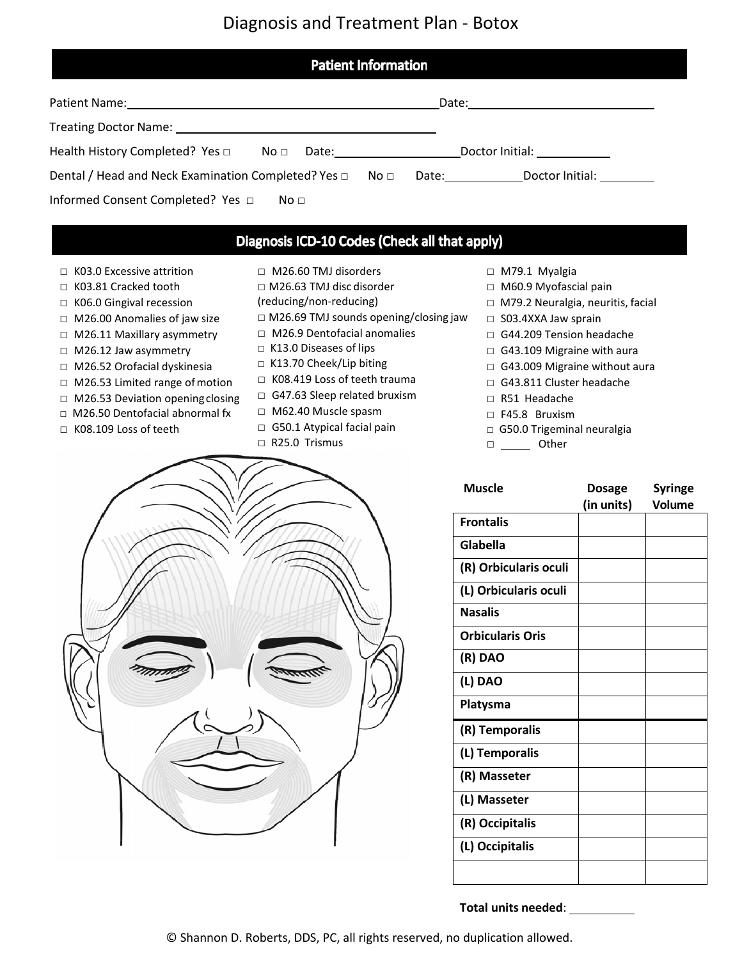# Diagnosis and Treatment Plan - Botox

| <b>Patient Information</b>                                                                                                                                                                                                     |                                               |  |  |
|--------------------------------------------------------------------------------------------------------------------------------------------------------------------------------------------------------------------------------|-----------------------------------------------|--|--|
|                                                                                                                                                                                                                                |                                               |  |  |
| Treating Doctor Name: Name: Name and Allen Contract of Treating Doctor Name: Name and Allen Contract of Treating Doctor Name and Allen Contract of Treating Doctor Name and Allen Contract of Treating Doctor Name and Allen C |                                               |  |  |
| Health History Completed? Yes $\Box$ No $\Box$ Date: _______________________________                                                                                                                                           | Doctor Initial: ____________                  |  |  |
| Dental / Head and Neck Examination Completed? Yes $\Box$                                                                                                                                                                       | Date: Doctor Initial:<br>No □                 |  |  |
| Informed Consent Completed? Yes $\Box$<br>No <sub>1</sub>                                                                                                                                                                      |                                               |  |  |
|                                                                                                                                                                                                                                | Diagnosis ICD-10 Codes (Check all that apply) |  |  |

- □ K03.0 Excessive attrition
- □ K03.81 Cracked tooth
- □ K06.0 Gingival recession
- □ M26.00 Anomalies of jaw size
- □ M26.11 Maxillary asymmetry
- □ M26.12 Jaw asymmetry
- □ M26.52 Orofacial dyskinesia
- □ M26.53 Limited range of motion
- □ M26.53 Deviation opening closing
- □ M26.50 Dentofacial abnormal fx
- □ K08.109 Loss of teeth
- □ M26.60 TMJ disorders
- □ M26.63 TMJ disc disorder
- (reducing/non-reducing)
- □ M26.69 TMJ sounds opening/closing jaw
- □ M26.9 Dentofacial anomalies
- □ K13.0 Diseases of lips
- □ K13.70 Cheek/Lip biting
- □ K08.419 Loss of teeth trauma
- □ G47.63 Sleep related bruxism
- □ M62.40 Muscle spasm
- □ G50.1 Atypical facial pain □ R25.0 Trismus
- □ M79.1 Myalgia
- □ M60.9 Myofascial pain
- □ M79.2 Neuralgia, neuritis, facial
- □ S03.4XXA Jaw sprain
- □ G44.209 Tension headache
- □ G43.109 Migraine with aura
- □ G43.009 Migraine without aura
- □ G43.811 Cluster headache
- □ R51 Headache
- □ F45.8 Bruxism
- □ G50.0 Trigeminal neuralgia
- □ <u>Other</u>



| <b>Muscle</b>           | <b>Dosage</b> | <b>Syringe</b> |
|-------------------------|---------------|----------------|
|                         | (in units)    | Volume         |
| <b>Frontalis</b>        |               |                |
| Glabella                |               |                |
| (R) Orbicularis oculi   |               |                |
| (L) Orbicularis oculi   |               |                |
| <b>Nasalis</b>          |               |                |
| <b>Orbicularis Oris</b> |               |                |
| (R) DAO                 |               |                |
| (L) DAO                 |               |                |
| Platysma                |               |                |
| (R) Temporalis          |               |                |
| (L) Temporalis          |               |                |
| (R) Masseter            |               |                |
| (L) Masseter            |               |                |
| (R) Occipitalis         |               |                |
| (L) Occipitalis         |               |                |
|                         |               |                |
|                         |               |                |

**Total units needed**: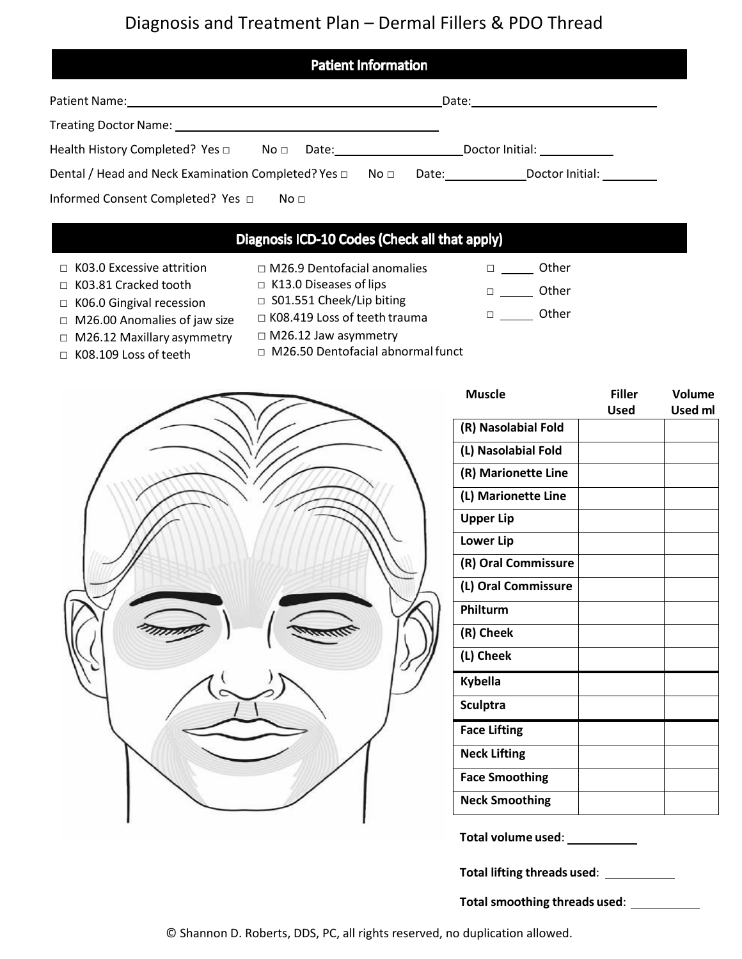# Diagnosis and Treatment Plan – Dermal Fillers & PDO Thread

| <b>Patient Information</b>                                                                                                                                                                                                                                                                |                                  |
|-------------------------------------------------------------------------------------------------------------------------------------------------------------------------------------------------------------------------------------------------------------------------------------------|----------------------------------|
|                                                                                                                                                                                                                                                                                           | Date: _________________________  |
| Treating Doctor Name: The account of the state of the state of the state of the state of the state of the state of the state of the state of the state of the state of the state of the state of the state of the state of the                                                            |                                  |
| Health History Completed? Yes $\Box$<br>$N$ o $\square$<br>Date: the contract of the contract of the contract of the contract of the contract of the contract of the contract of the contract of the contract of the contract of the contract of the contract of the contract of the cont | Doctor Initial: North Controller |
| Dental / Head and Neck Examination Completed? Yes $\Box$<br>No ⊡                                                                                                                                                                                                                          | Date: Doctor Initial: 1997       |
| Informed Consent Completed? Yes □<br>No <sub>1</sub>                                                                                                                                                                                                                                      |                                  |

# Diagnosis ICD-10 Codes (Check all that apply)

- □ K03.0 Excessive attrition □ K03.81 Cracked tooth
- □ M26.9 Dentofacial anomalies □ K13.0 Diseases of lips
- 
- □ <u>Other</u> □ Other

□ Other

- □ K06.0 Gingival recession
- □ M26.00 Anomalies of jaw size
- □ M26.12 Maxillary asymmetry
- □ K08.109 Loss of teeth
- □ S01.551 Cheek/Lip biting □ K08.419 Loss of teeth trauma
- □ M26.12 Jaw asymmetry
- □ M26.50 Dentofacial abnormal funct



| <b>Muscle</b>         | <b>Filler</b> | <b>Volume</b> |
|-----------------------|---------------|---------------|
|                       | <b>Used</b>   | Used ml       |
| (R) Nasolabial Fold   |               |               |
| (L) Nasolabial Fold   |               |               |
| (R) Marionette Line   |               |               |
| (L) Marionette Line   |               |               |
| <b>Upper Lip</b>      |               |               |
| <b>Lower Lip</b>      |               |               |
| (R) Oral Commissure   |               |               |
| (L) Oral Commissure   |               |               |
| Philturm              |               |               |
| (R) Cheek             |               |               |
| (L) Cheek             |               |               |
| <b>Kybella</b>        |               |               |
| <b>Sculptra</b>       |               |               |
| <b>Face Lifting</b>   |               |               |
| <b>Neck Lifting</b>   |               |               |
| <b>Face Smoothing</b> |               |               |
| <b>Neck Smoothing</b> |               |               |
|                       |               |               |

**Total volume used**:

**Total lifting threads used**:

**Total smoothing threads used**: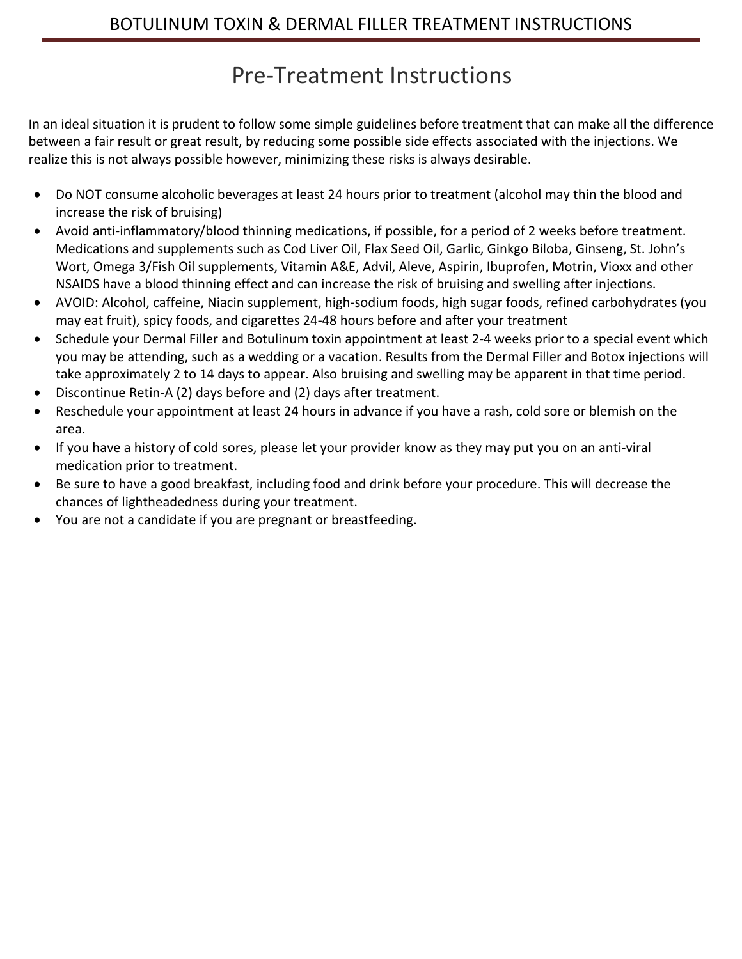# Pre-Treatment Instructions

In an ideal situation it is prudent to follow some simple guidelines before treatment that can make all the difference between a fair result or great result, by reducing some possible side effects associated with the injections. We realize this is not always possible however, minimizing these risks is always desirable.

- Do NOT consume alcoholic beverages at least 24 hours prior to treatment (alcohol may thin the blood and increase the risk of bruising)
- Avoid anti-inflammatory/blood thinning medications, if possible, for a period of 2 weeks before treatment. Medications and supplements such as Cod Liver Oil, Flax Seed Oil, Garlic, Ginkgo Biloba, Ginseng, St. John's Wort, Omega 3/Fish Oil supplements, Vitamin A&E, Advil, Aleve, Aspirin, Ibuprofen, Motrin, Vioxx and other NSAIDS have a blood thinning effect and can increase the risk of bruising and swelling after injections.
- AVOID: Alcohol, caffeine, Niacin supplement, high-sodium foods, high sugar foods, refined carbohydrates (you may eat fruit), spicy foods, and cigarettes 24-48 hours before and after your treatment
- Schedule your [Dermal Filler a](https://www.lasercarespecialists.com/cosmetic/dermal-fillers/)nd Botulinum toxin appointment at least 2-4 weeks prior to a special event which you may be attending, such as a wedding or a vacation. Results from the Dermal Filler and Botox injections will take approximately 2 to 14 days to appear. Also bruising and swelling may be apparent in that time period.
- Discontinue Retin-A (2) days before and (2) days after treatment.
- Reschedule your appointment at least 24 hours in advance if you have a rash, cold sore or blemish on the area.
- If you have a history of cold sores, please let your provider know as they may put you on an anti-viral medication prior to treatment.
- Be sure to have a good breakfast, including food and drink before your procedure. This will decrease the chances of lightheadedness during your treatment.
- You are not a candidate if you are pregnant or breastfeeding.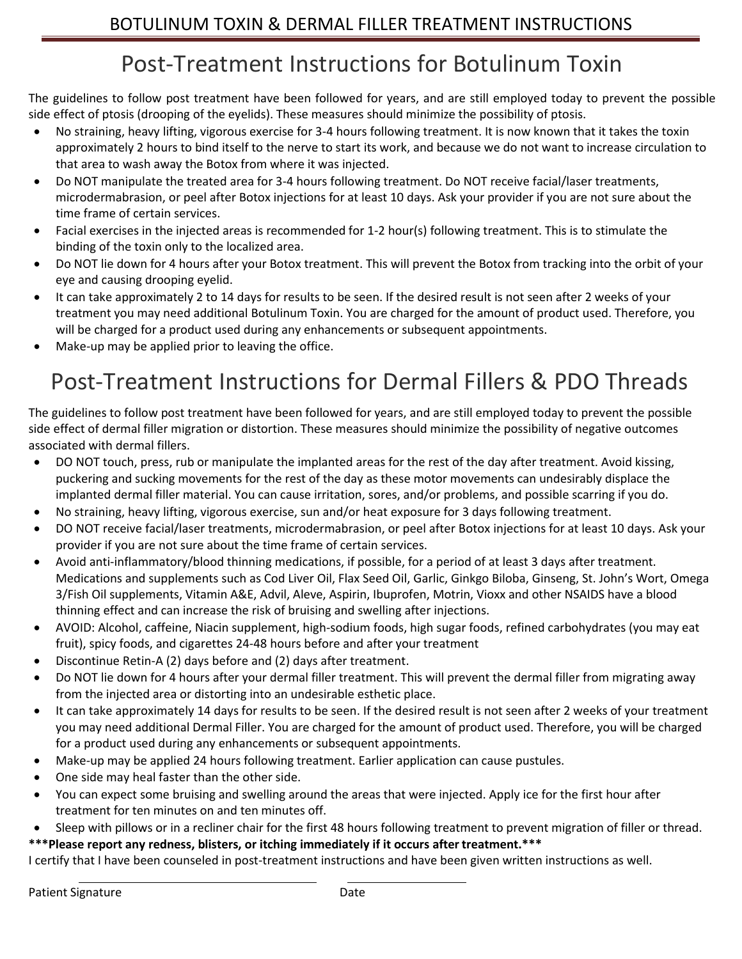# Post-Treatment Instructions for Botulinum Toxin

The guidelines to follow post treatment have been followed for years, and are still employed today to prevent the possible side effect of ptosis (drooping of the eyelids). These measures should minimize the possibility of ptosis.

- No straining, heavy lifting, vigorous exercise for 3-4 hours following treatment. It is now known that it takes the toxin approximately 2 hours to bind itself to the nerve to start its work, and because we do not want to increase circulation to that area to wash away the Botox from where it was injected.
- Do NOT manipulate the treated area for 3-4 hours following treatment. Do NOT receive facial/laser treatments, microdermabrasion, or peel after Botox injections for at least 10 days. Ask your provider if you are not sure about the time frame of certain services.
- Facial exercises in the injected areas is recommended for 1-2 hour(s) following treatment. This is to stimulate the binding of the toxin only to the localized area.
- Do NOT lie down for 4 hours after your Botox treatment. This will prevent the Botox from tracking into the orbit of your eye and causing drooping eyelid.
- It can take approximately 2 to 14 days for results to be seen. If the desired result is not seen after 2 weeks of your treatment you may need additional Botulinum Toxin. You are charged for the amount of product used. Therefore, you will be charged for a product used during any enhancements or subsequent appointments.
- Make-up may be applied prior to leaving the office.

# Post-Treatment Instructions for Dermal Fillers & PDO Threads

The guidelines to follow post treatment have been followed for years, and are still employed today to prevent the possible side effect of dermal filler migration or distortion. These measures should minimize the possibility of negative outcomes associated with dermal fillers.

- DO NOT touch, press, rub or manipulate the implanted areas for the rest of the day after treatment. Avoid kissing, puckering and sucking movements for the rest of the day as these motor movements can undesirably displace the implanted dermal filler material. You can cause irritation, sores, and/or problems, and possible scarring if you do.
- No straining, heavy lifting, vigorous exercise, sun and/or heat exposure for 3 days following treatment.
- DO NOT receive facial/laser treatments, microdermabrasion, or peel after Botox injections for at least 10 days. Ask your provider if you are not sure about the time frame of certain services.
- Avoid anti-inflammatory/blood thinning medications, if possible, for a period of at least 3 days after treatment. Medications and supplements such as Cod Liver Oil, Flax Seed Oil, Garlic, Ginkgo Biloba, Ginseng, St. John's Wort, Omega 3/Fish Oil supplements, Vitamin A&E, Advil, Aleve, Aspirin, Ibuprofen, Motrin, Vioxx and other NSAIDS have a blood thinning effect and can increase the risk of bruising and swelling after injections.
- AVOID: Alcohol, caffeine, Niacin supplement, high-sodium foods, high sugar foods, refined carbohydrates (you may eat fruit), spicy foods, and cigarettes 24-48 hours before and after your treatment
- Discontinue Retin-A (2) days before and (2) days after treatment.
- Do NOT lie down for 4 hours after your dermal filler treatment. This will prevent the dermal filler from migrating away from the injected area or distorting into an undesirable esthetic place.
- It can take approximately 14 days for results to be seen. If the desired result is not seen after 2 weeks of your treatment you may need additional Dermal Filler. You are charged for the amount of product used. Therefore, you will be charged for a product used during any enhancements or subsequent appointments.
- Make-up may be applied 24 hours following treatment. Earlier application can cause pustules.
- One side may heal faster than the other side.
- You can expect some bruising and swelling around the areas that were injected. Apply ice for the first hour after treatment for ten minutes on and ten minutes off.
- Sleep with pillows or in a recliner chair for the first 48 hours following treatment to prevent migration of filler or thread.

## **\*\*\*Please report any redness, blisters, or itching immediately if it occurs after treatment.\*\*\***

I certify that I have been counseled in post-treatment instructions and have been given written instructions as well.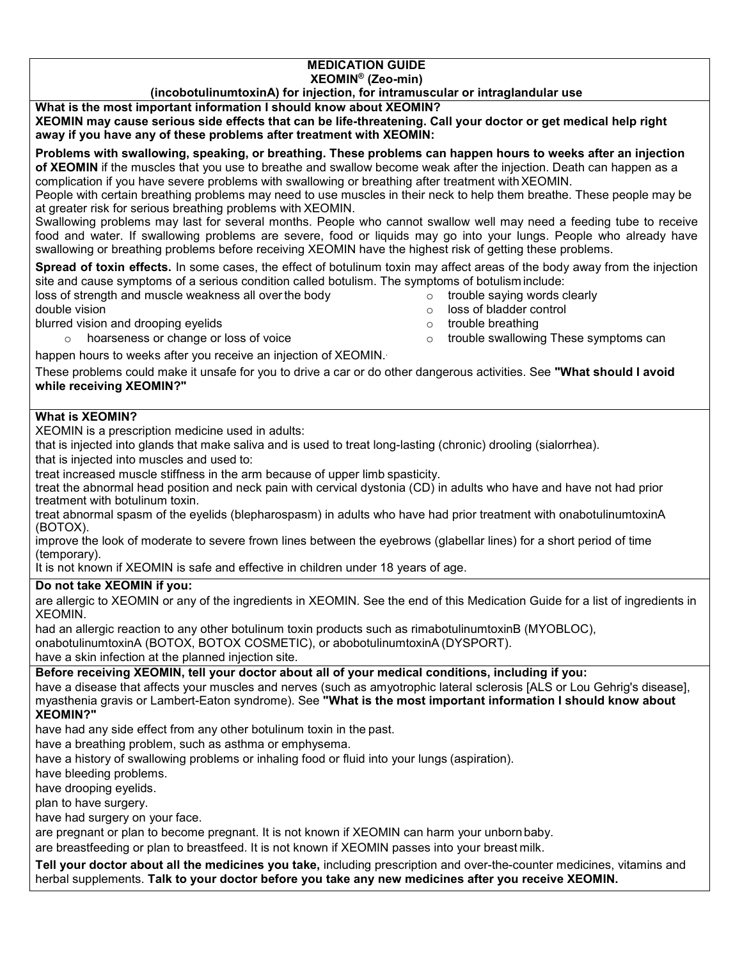### **MEDICATION GUIDE XEOMIN® (Zeo-min)**

## **(incobotulinumtoxinA) for injection, for intramuscular or intraglandular use**

**What is the most important information I should know about XEOMIN?**

**XEOMIN may cause serious side effects that can be life-threatening. Call your doctor or get medical help right away if you have any of these problems after treatment with XEOMIN:**

**Problems with swallowing, speaking, or breathing. These problems can happen hours to weeks after an injection of XEOMIN** if the muscles that you use to breathe and swallow become weak after the injection. Death can happen as a complication if you have severe problems with swallowing or breathing after treatment withXEOMIN.

People with certain breathing problems may need to use muscles in their neck to help them breathe. These people may be at greater risk for serious breathing problems with XEOMIN.

Swallowing problems may last for several months. People who cannot swallow well may need a feeding tube to receive food and water. If swallowing problems are severe, food or liquids may go into your lungs. People who already have swallowing or breathing problems before receiving XEOMIN have the highest risk of getting these problems.

**Spread of toxin effects.** In some cases, the effect of botulinum toxin may affect areas of the body away from the injection site and cause symptoms of a serious condition called botulism. The symptoms of botulism include:

loss of strength and muscle weakness all over the body<br>double vision of the body<br>o toss of bladder control

- 
- $\circ$  loss of bladder control<br> $\circ$  trouble breathing
- blurred vision and drooping eyelids<br>
o trouble breathing<br>
o trouble swallowing These symptoms can<br>
o trouble swallowing These symptoms can
	- $\circ$  hoarseness or change or loss of voice
- -

happen hours to weeks after you receive an injection of XEOMIN.

These problems could make it unsafe for you to drive a car or do other dangerous activities. See **"What should I avoid while receiving XEOMIN?"**

## **What is XEOMIN?**

XEOMIN is a prescription medicine used in adults:

that is injected into glands that make saliva and is used to treat long-lasting (chronic) drooling (sialorrhea).

that is injected into muscles and used to:

treat increased muscle stiffness in the arm because of upper limb spasticity.

treat the abnormal head position and neck pain with cervical dystonia (CD) in adults who have and have not had prior treatment with botulinum toxin.

treat abnormal spasm of the eyelids (blepharospasm) in adults who have had prior treatment with onabotulinumtoxinA (BOTOX).

improve the look of moderate to severe frown lines between the eyebrows (glabellar lines) for a short period of time (temporary).

It is not known if XEOMIN is safe and effective in children under 18 years of age.

## **Do not take XEOMIN if you:**

are allergic to XEOMIN or any of the ingredients in XEOMIN. See the end of this Medication Guide for a list of ingredients in XEOMIN.

had an allergic reaction to any other botulinum toxin products such as rimabotulinumtoxinB (MYOBLOC), onabotulinumtoxinA (BOTOX, BOTOX COSMETIC), or abobotulinumtoxinA (DYSPORT).

have a skin infection at the planned injection site.

**Before receiving XEOMIN, tell your doctor about all of your medical conditions, including if you:**

have a disease that affects your muscles and nerves (such as amyotrophic lateral sclerosis [ALS or Lou Gehrig's disease], myasthenia gravis or Lambert-Eaton syndrome). See **"What is the most important information I should know about XEOMIN?"**

have had any side effect from any other botulinum toxin in the past.

have a breathing problem, such as asthma or emphysema.

have a history of swallowing problems or inhaling food or fluid into your lungs (aspiration).

have bleeding problems.

have drooping eyelids.

plan to have surgery.

have had surgery on your face.

are pregnant or plan to become pregnant. It is not known if XEOMIN can harm your unbornbaby.

are breastfeeding or plan to breastfeed. It is not known if XEOMIN passes into your breast milk.

**Tell your doctor about all the medicines you take,** including prescription and over-the-counter medicines, vitamins and herbal supplements. **Talk to your doctor before you take any new medicines after you receive XEOMIN.**